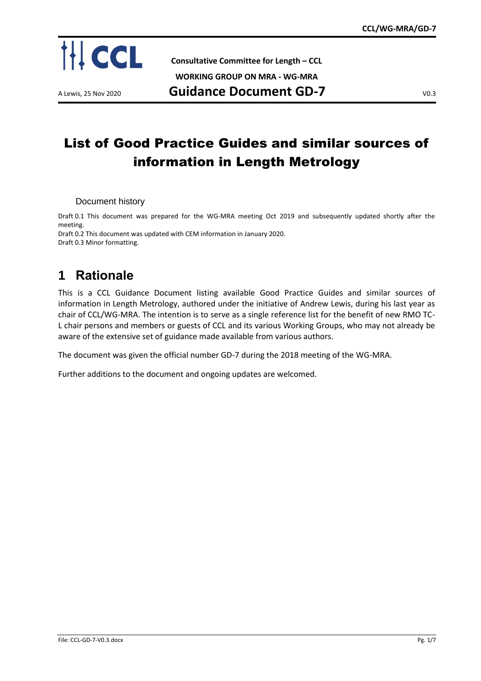

**Consultative Committee for Length – CCL**

**WORKING GROUP ON MRA - WG-MRA**

A Lewis, 25 Nov 2020 **Guidance Document GD-7** V0.3

# List of Good Practice Guides and similar sources of information in Length Metrology

Document history

Draft 0.1 This document was prepared for the WG-MRA meeting Oct 2019 and subsequently updated shortly after the meeting.

Draft 0.2 This document was updated with CEM information in January 2020. Draft 0.3 Minor formatting.

## **1 Rationale**

This is a CCL Guidance Document listing available Good Practice Guides and similar sources of information in Length Metrology, authored under the initiative of Andrew Lewis, during his last year as chair of CCL/WG-MRA. The intention is to serve as a single reference list for the benefit of new RMO TC-L chair persons and members or guests of CCL and its various Working Groups, who may not already be aware of the extensive set of guidance made available from various authors.

The document was given the official number GD-7 during the 2018 meeting of the WG-MRA.

Further additions to the document and ongoing updates are welcomed.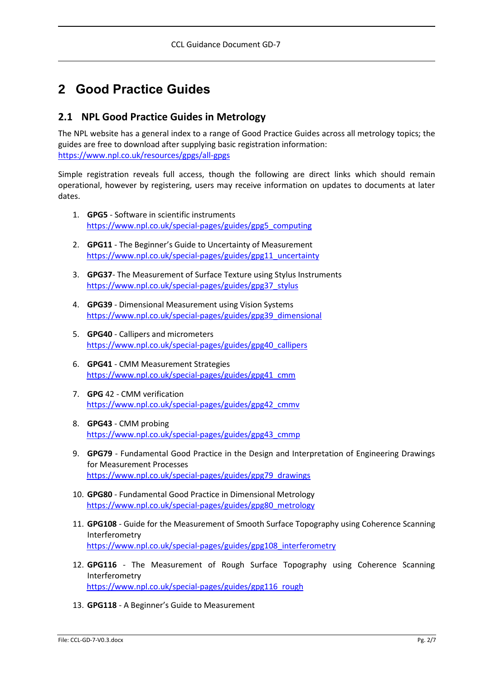## **2 Good Practice Guides**

### **2.1 NPL Good Practice Guides in Metrology**

The NPL website has a general index to a range of Good Practice Guides across all metrology topics; the guides are free to download after supplying basic registration information: [https://www.npl.co.uk/resources/gpgs/all-gpgs](https://www.bipm.org/utils/common/pdf/CC/CCL/CCL-WG-MRA-comparison-progress-report.pptx)

Simple registration reveals full access, though the following are direct links which should remain operational, however by registering, users may receive information on updates to documents at later dates.

- 1. **GPG5** Software in scientific instruments [https://www.npl.co.uk/special-pages/guides/gpg5\\_computing](https://www.bipm.org/utils/common/pdf/CC/CCL/CCL-GD-6.pdf)
- 2. **GPG11** The Beginner's Guide to Uncertainty of Measurement [https://www.npl.co.uk/special-pages/guides/gpg11\\_uncertainty](https://www.npl.co.uk/special-pages/guides/gpg11_uncertainty)
- 3. **GPG37** The Measurement of Surface Texture using Stylus Instruments [https://www.npl.co.uk/special-pages/guides/gpg37\\_stylus](https://www.bipm.org/utils/common/pdf/CC/CCL/CCL-KC-evaluation-linked-loops.xls)
- 4. **GPG39** Dimensional Measurement using Vision Systems [https://www.npl.co.uk/special-pages/guides/gpg39\\_dimensional](https://www.npl.co.uk/special-pages/guides/gpg39_dimensional)
- 5. **GPG40** Callipers and micrometers [https://www.npl.co.uk/special-pages/guides/gpg40\\_callipers](https://www.npl.co.uk/resources/gpgs/all-gpgs)
- 6. **GPG41** CMM Measurement Strategies [https://www.npl.co.uk/special-pages/guides/gpg41\\_cmm](https://www.bipm.org/utils/common/documents/CIPM-MRA/MET-Technical-Supplement.docx)
- 7. **GPG** 42 CMM verification [https://www.npl.co.uk/special-pages/guides/gpg42\\_cmmv](https://www.npl.co.uk/special-pages/guides/gpg42_cmmv)
- 8. **GPG43** CMM probing [https://www.npl.co.uk/special-pages/guides/gpg43\\_cmmp](https://www.npl.co.uk/special-pages/guides/gpg37_stylus)
- 9. **GPG79** Fundamental Good Practice in the Design and Interpretation of Engineering Drawings for Measurement Processes [https://www.npl.co.uk/special-pages/guides/gpg79\\_drawings](https://www.npl.co.uk/special-pages/guides/gpg79_drawings)
- 10. **GPG80** Fundamental Good Practice in Dimensional Metrology [https://www.npl.co.uk/special-pages/guides/gpg80\\_metrology](https://www.npl.co.uk/special-pages/guides/gpg80_metrology)
- 11. **GPG108** Guide for the Measurement of Smooth Surface Topography using Coherence Scanning Interferometry [https://www.npl.co.uk/special-pages/guides/gpg108\\_interferometry](https://www.bipm.org/utils/common/pdf/CC/CCL/CCL-GD-3.3.doc)
- 12. **GPG116** The Measurement of Rough Surface Topography using Coherence Scanning Interferometry [https://www.npl.co.uk/special-pages/guides/gpg116\\_rough](https://www.npl.co.uk/special-pages/guides/gpg116_rough)
- 13. **GPG118** A Beginner's Guide to Measurement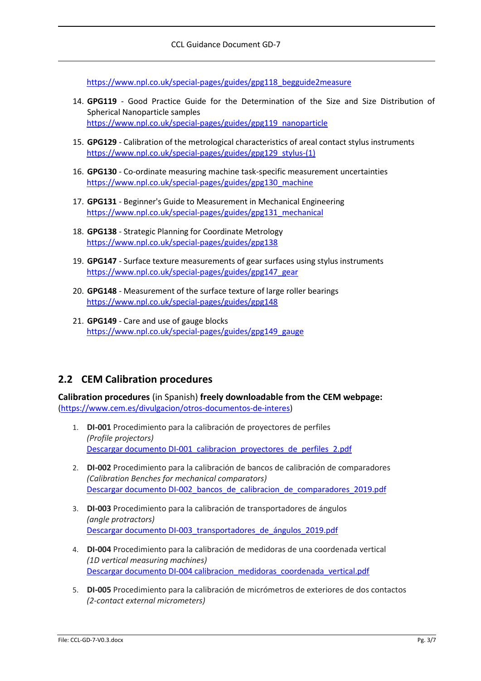[https://www.npl.co.uk/special-pages/guides/gpg118\\_begguide2measure](https://www.npl.co.uk/special-pages/guides/gpg40_callipers)

- 14. **GPG119** Good Practice Guide for the Determination of the Size and Size Distribution of Spherical Nanoparticle samples [https://www.npl.co.uk/special-pages/guides/gpg119\\_nanoparticle](https://www.npl.co.uk/special-pages/guides/gpg41_cmm)
- 15. **GPG129** Calibration of the metrological characteristics of areal contact stylus instruments [https://www.npl.co.uk/special-pages/guides/gpg129\\_stylus-\(1\)](https://www.npl.co.uk/special-pages/guides/gpg129_stylus-(1))
- 16. **GPG130** Co-ordinate measuring machine task-specific measurement uncertainties [https://www.npl.co.uk/special-pages/guides/gpg130\\_machine](https://www.npl.co.uk/special-pages/guides/gpg43_cmmp)
- 17. **GPG131** Beginner's Guide to Measurement in Mechanical Engineering [https://www.npl.co.uk/special-pages/guides/gpg131\\_mechanical](https://www.npl.co.uk/special-pages/guides/gpg131_mechanical)
- 18. **GPG138** Strategic Planning for Coordinate Metrology [https://www.npl.co.uk/special-pages/guides/gpg138](https://www.npl.co.uk/special-pages/guides/gpg118_begguide2measure)
- 19. **GPG147** Surface texture measurements of gear surfaces using stylus instruments [https://www.npl.co.uk/special-pages/guides/gpg147\\_gear](https://www.npl.co.uk/special-pages/guides/gpg119_nanoparticle)
- 20. **GPG148** Measurement of the surface texture of large roller bearings <https://www.npl.co.uk/special-pages/guides/gpg148>
- 21. **GPG149** Care and use of gauge blocks [https://www.npl.co.uk/special-pages/guides/gpg149\\_gauge](https://www.npl.co.uk/special-pages/guides/gpg138)

#### **2.2 CEM Calibration procedures**

**Calibration procedures** (in Spanish) **freely downloadable from the CEM webpage:** [\(https://www.cem.es/divulgacion/otros-documentos-de-interes\)](https://www.cem.es/divulgacion/otros-documentos-de-interes)

- 1. **DI-001** Procedimiento para la calibración de proyectores de perfiles *(Profile projectors)* [Descargar documento DI-001\\_calibracion\\_proyectores\\_de\\_perfiles\\_2.pdf](https://www.cem.es/sites/default/files/di-001_calibracion_proyectores_de_perfiles_2.pdf)
- 2. **DI-002** Procedimiento para la calibración de bancos de calibración de comparadores *(Calibration Benches for mechanical comparators)* [Descargar documento DI-002\\_bancos\\_de\\_calibracion\\_de\\_comparadores\\_2019.pdf](https://www.cem.es/sites/default/files/di-002_bancos_de_calibracion_de_comparadores_2019.pdf)
- 3. **DI-003** Procedimiento para la calibración de transportadores de ángulos *(angle protractors)* [Descargar documento DI-003\\_transportadores\\_de\\_ángulos\\_2019.pdf](https://www.cem.es/sites/default/files/di-003_transportadores_de_angulos_2019.pdf)
- 4. **DI-004** Procedimiento para la calibración de medidoras de una coordenada vertical *(1D vertical measuring machines)* [Descargar documento DI-004 calibracion\\_medidoras\\_coordenada\\_vertical.pdf](https://www.cem.es/sites/default/files/procedimientodi-004calibracion_medidoras_coordenada_vertical.pdf)
- 5. **DI-005** Procedimiento para la calibración de micrómetros de exteriores de dos contactos *(2-contact external micrometers)*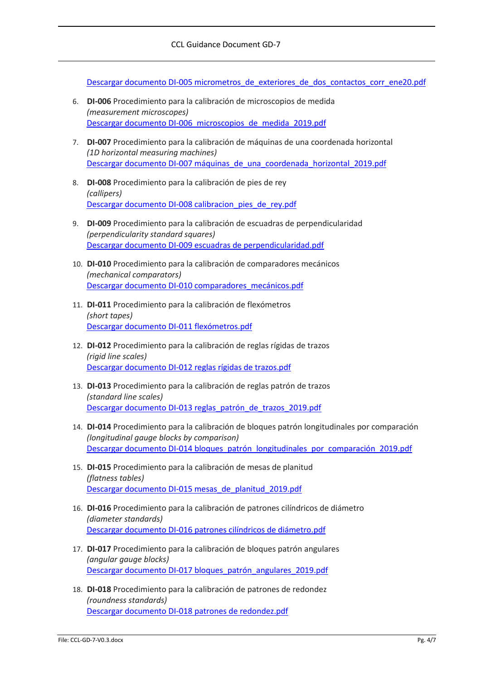[Descargar documento DI-005 micrometros\\_de\\_exteriores\\_de\\_dos\\_contactos\\_corr\\_ene20.pdf](https://www.cem.es/sites/default/files/di-005_micrometros_de_exteriores_de_dos_contactos_corr_mar20.pdf)

- 6. **DI-006** Procedimiento para la calibración de microscopios de medida *(measurement microscopes)* [Descargar documento DI-006\\_microscopios\\_de\\_medida\\_2019.pdf](https://www.cem.es/sites/default/files/di-006_microscopios_de_medida_2019.pdf)
- 7. **DI-007** Procedimiento para la calibración de máquinas de una coordenada horizontal *(1D horizontal measuring machines)* Descargar documento DI-007 máquinas de una coordenada horizontal 2019.pdf
- 8. **DI-008** Procedimiento para la calibración de pies de rey *(callipers)* [Descargar documento DI-008 calibracion\\_pies\\_de\\_rey.pdf](https://www.cem.es/sites/default/files/procedimientodi-008calibracion_pies_de_rey.pdf)
- 9. **DI-009** Procedimiento para la calibración de escuadras de perpendicularidad *(perpendicularity standard squares)* [Descargar documento DI-009 escuadras de perpendicularidad.pdf](https://www.cem.es/sites/default/files/di-009_digital.pdf)
- 10. **DI-010** Procedimiento para la calibración de comparadores mecánicos *(mechanical comparators)* [Descargar documento DI-010 comparadores\\_mecánicos.pdf](https://www.cem.es/sites/default/files/procedimientodi-010comparadores_mecanicos.pdf)
- 11. **DI-011** Procedimiento para la calibración de flexómetros *(short tapes)* [Descargar documento DI-011 flexómetros.pdf](https://www.cem.es/sites/default/files/di-011_digital.pdf)
- 12. **DI-012** Procedimiento para la calibración de reglas rígidas de trazos *(rigid line scales)* [Descargar documento DI-012 reglas rígidas de trazos.pdf](https://www.cem.es/sites/default/files/di-012_digital.pdf)
- 13. **DI-013** Procedimiento para la calibración de reglas patrón de trazos *(standard line scales)* [Descargar documento DI-013 reglas\\_patrón\\_de\\_trazos\\_2019.pdf](https://www.cem.es/sites/default/files/di-013_reglas_patron_de_trazos_2019.pdf)
- 14. **DI-014** Procedimiento para la calibración de bloques patrón longitudinales por comparación *(longitudinal gauge blocks by comparison)* [Descargar documento DI-014 bloques\\_patrón\\_longitudinales\\_por\\_comparación\\_2019.pdf](https://www.cem.es/sites/default/files/di-014_bloques_patron_longitudinales_por_comparacion_2019.pdf)
- 15. **DI-015** Procedimiento para la calibración de mesas de planitud *(flatness tables)* [Descargar documento DI-015 mesas\\_de\\_planitud\\_2019.pdf](https://www.cem.es/sites/default/files/di-015_mesas_de_planitud_2019.pdf)
- 16. **DI-016** Procedimiento para la calibración de patrones cilíndricos de diámetro *(diameter standards)* [Descargar documento DI-016 patrones cilíndricos de diámetro.pdf](https://www.cem.es/sites/default/files/di-016_digital-1.pdf)
- 17. **DI-017** Procedimiento para la calibración de bloques patrón angulares *(angular gauge blocks)* [Descargar documento DI-017 bloques\\_patrón\\_angulares\\_2019.pdf](https://www.cem.es/sites/default/files/di-017_bloques_patron_angulares_2019.pdf)
- 18. **DI-018** Procedimiento para la calibración de patrones de redondez *(roundness standards)* [Descargar documento DI-018 patrones de redondez.pdf](https://www.cem.es/sites/default/files/di-018_digital.pdf)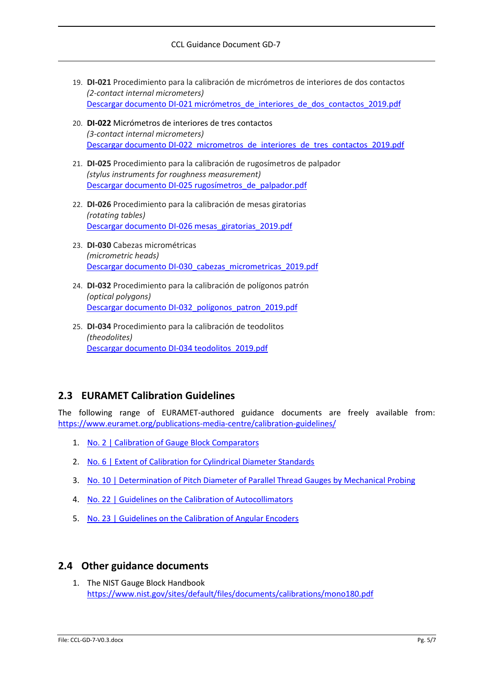- 19. **DI-021** Procedimiento para la calibración de micrómetros de interiores de dos contactos *(2-contact internal micrometers)* [Descargar documento DI-021 micrómetros\\_de\\_interiores\\_de\\_dos\\_contactos\\_2019.pdf](https://www.cem.es/sites/default/files/di-021_micrometros_de_interiores_de_dos_contactos_2019.pdf)
- 20. **DI-022** Micrómetros de interiores de tres contactos *(3-contact internal micrometers)* [Descargar documento DI-022\\_micrometros\\_de\\_interiores\\_de\\_tres\\_contactos\\_2019.pdf](https://www.cem.es/sites/default/files/di-022_micrometros_de_interiores_de_tres_contactos_2019.pdf)
- 21. **DI-025** Procedimiento para la calibración de rugosímetros de palpador *(stylus instruments for roughness measurement)* [Descargar documento DI-025 rugosímetros\\_de\\_palpador.pdf](https://www.cem.es/sites/default/files/procedimientodi-025rugosimetros_de_palpador.pdf)
- 22. **DI-026** Procedimiento para la calibración de mesas giratorias *(rotating tables)* [Descargar documento DI-026 mesas\\_giratorias\\_2019.pdf](https://www.cem.es/sites/default/files/di-026_mesas_giratorias_2019.pdf)
- 23. **DI-030** Cabezas micrométricas *(micrometric heads)* Descargar documento DI-030 cabezas micrometricas 2019.pdf
- 24. **DI-032** Procedimiento para la calibración de polígonos patrón *(optical polygons)* [Descargar documento DI-032\\_polígonos\\_patron\\_2019.pdf](https://www.cem.es/sites/default/files/di-032_poligonos_patron_2019.pdf)
- 25. **DI-034** Procedimiento para la calibración de teodolitos *(theodolites)* [Descargar documento DI-034 teodolitos\\_2019.pdf](https://www.cem.es/sites/default/files/di-034_teodolitos_2019.pdf)

## **2.3 EURAMET Calibration Guidelines**

The following range of EURAMET-authored guidance documents are freely available from: [https://www.euramet.org/publications-media-centre/calibration-guidelines/](https://www.npl.co.uk/special-pages/guides/gpg5_computing)

- 1. No. 2 | Calibration of Gauge Block Comparators
- 2. [No. 6 | Extent of Calibration for Cylindrical Diameter Standards](https://www.euramet.org/download/?tx_eurametfiles_download%5Bfiles%5D=3610&tx_eurametfiles_download%5Bidentifier%5D=%252Fdocs%252FPublications%252Fcalguides%252FEURAMET_cg-6__v_2.0_Extent_of_Calibration.pdf&tx_eurametfiles_download%5Baction%5D=download&tx_eurametfiles_download%5Bcontroller%5D=File&cHash=a5a9b70a853d0a30c13788867d81ac16)
- 3. [No. 10 | Determination of Pitch Diameter of Parallel Thread Gauges by Mechanical Probing](https://www.npl.co.uk/special-pages/guides/gpg130_machine?tx_eurametfiles_download%5Bfiles%5D=3615&tx_eurametfiles_download%5Bidentifier%5D=%252Fdocs%252FPublications%252Fcalguides%252FEURAMET_cg-10__v_2.1_Determination_of_Pitch_Diameter.pdf&tx_eurametfiles_download%5Baction%5D=download&tx_eurametfiles_download%5Bcontroller%5D=File&cHash=a2e8298ff83c1b4b9eaf9cddf787cc92)
- 4. [No. 22 | Guidelines on the Calibration of Autocollimators](https://www.euramet.org/download/?tx_eurametfiles_download%5Bfiles%5D=31700&tx_eurametfiles_download%5Bidentifier%5D=%252Fdocs%252FPublications%252Fcalguides%252FI-CAL-GUI-022_Calibration_Guide_No._22_web.pdf&tx_eurametfiles_download%5Baction%5D=download&tx_eurametfiles_download%5Bcontroller%5D=File&cHash=02a9bde0e82581ccfda481fddf1d49e5)
- 5. [No. 23 | Guidelines on the Calibration of Angular Encoders](https://www.npl.co.uk/special-pages/guides/gpg149_gauge?tx_eurametfiles_download%5Bfiles%5D=33297&tx_eurametfiles_download%5Bidentifier%5D=%252Fdocs%252FPublications%252Fcalguides%252FI-CAL-GUI-023_Calibration_Guide_No._23_web.pdf&tx_eurametfiles_download%5Baction%5D=download&tx_eurametfiles_download%5Bcontroller%5D=File&cHash=a993286954c8ef03575a9629005d448a)

#### **2.4 Other guidance documents**

1. The NIST Gauge Block Handbook [https://www.nist.gov/sites/default/files/documents/calibrations/mono180.pdf](https://www.npl.co.uk/special-pages/guides/gpg147_gear)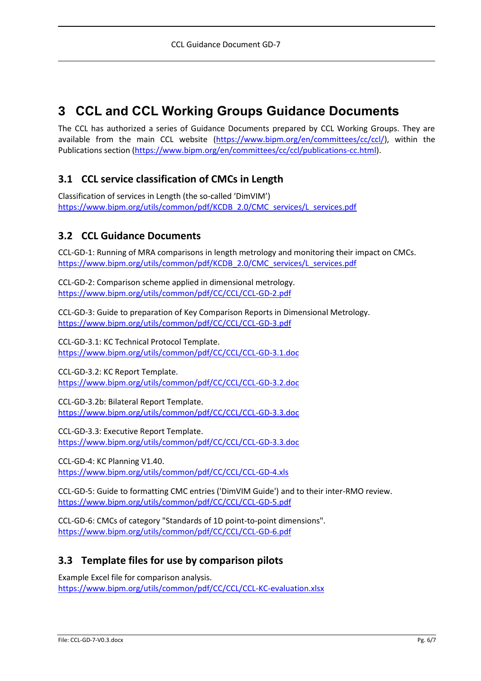## **3 CCL and CCL Working Groups Guidance Documents**

The CCL has authorized a series of Guidance Documents prepared by CCL Working Groups. They are available from the main CCL website [\(https://www.bipm.org/en/committees/cc/ccl/\)](https://www.bipm.org/en/committees/cc/ccl/), within the Publications section [\(https://www.bipm.org/en/committees/cc/ccl/publications-cc.html\)](https://www.euramet.org/download/).

## **3.1 CCL service classification of CMCs in Length**

Classification of services in Length (the so-called 'DimVIM') [https://www.bipm.org/utils/common/pdf/KCDB\\_2.0/CMC\\_services/L\\_services.pdf](https://www.bipm.org/utils/common/pdf/KCDB_2.0/CMC_services/L_services.pdf)

### **3.2 CCL Guidance Documents**

CCL-GD-1: Running of MRA comparisons in length metrology and monitoring their impact on CMCs. [https://www.bipm.org/utils/common/pdf/KCDB\\_2.0/CMC\\_services/L\\_services.pdf](https://www.bipm.org/utils/common/pdf/KCDB_2.0/CMC_services/L_services.pdf)

CCL-GD-2: Comparison scheme applied in dimensional metrology. [https://www.bipm.org/utils/common/pdf/CC/CCL/CCL-GD-2.pdf](https://www.npl.co.uk/special-pages/guides/gpg108_interferometry)

CCL-GD-3: Guide to preparation of Key Comparison Reports in Dimensional Metrology. <https://www.bipm.org/utils/common/pdf/CC/CCL/CCL-GD-3.pdf>

CCL-GD-3.1: KC Technical Protocol Template. [https://www.bipm.org/utils/common/pdf/CC/CCL/CCL-GD-3.1.doc](https://www.euramet.org/download/)

CCL-GD-3.2: KC Report Template. [https://www.bipm.org/utils/common/pdf/CC/CCL/CCL-GD-3.2.doc](https://www.euramet.org/publications-media-centre/calibration-guidelines/)

CCL-GD-3.2b: Bilateral Report Template. <https://www.bipm.org/utils/common/pdf/CC/CCL/CCL-GD-3.3.doc>

CCL-GD-3.3: Executive Report Template. [https://www.bipm.org/utils/common/pdf/CC/CCL/CCL-GD-3.3.doc](https://www.bipm.org/en/committees/cc/ccl/publications-cc.html)

CCL-GD-4: KC Planning V1.40. <https://www.bipm.org/utils/common/pdf/CC/CCL/CCL-GD-4.xls>

CCL-GD-5: Guide to formatting CMC entries ('DimVIM Guide') and to their inter-RMO review. [https://www.bipm.org/utils/common/pdf/CC/CCL/CCL-GD-5.pdf](https://www.bipm.org/utils/common/pdf/CC/CCL/CCL-GD-3.1.doc)

CCL-GD-6: CMCs of category "Standards of 1D point-to-point dimensions". [https://www.bipm.org/utils/common/pdf/CC/CCL/CCL-GD-6.pdf](https://www.nist.gov/sites/default/files/documents/calibrations/mono180.pdf)

#### **3.3 Template files for use by comparison pilots**

Example Excel file for comparison analysis. <https://www.bipm.org/utils/common/pdf/CC/CCL/CCL-KC-evaluation.xlsx>